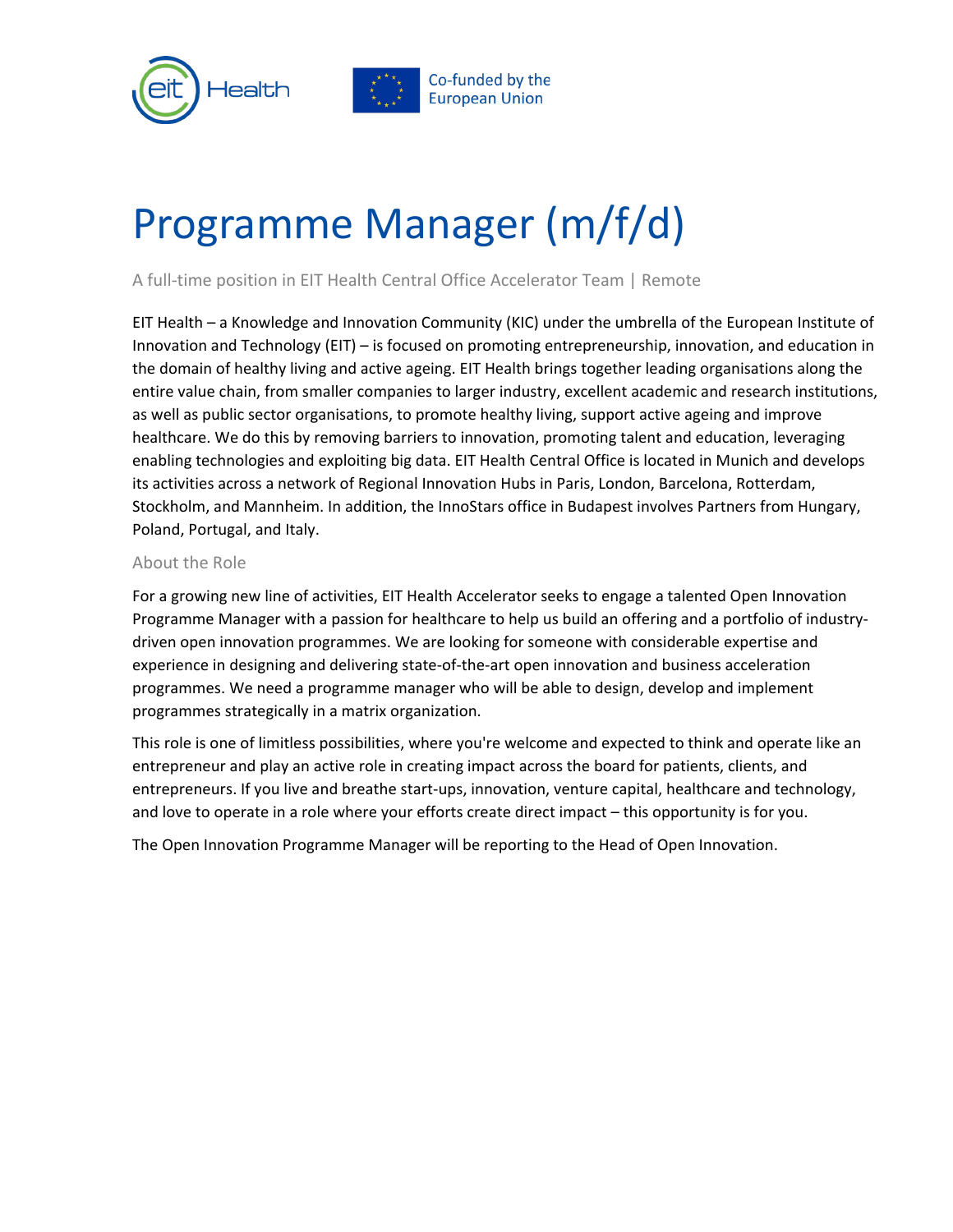



# Programme Manager (m/f/d)

A full-time position in EIT Health Central Office Accelerator Team | Remote

EIT Health – a Knowledge and Innovation Community (KIC) under the umbrella of the European Institute of Innovation and Technology (EIT) – is focused on promoting entrepreneurship, innovation, and education in the domain of healthy living and active ageing. EIT Health brings together leading organisations along the entire value chain, from smaller companies to larger industry, excellent academic and research institutions, as well as public sector organisations, to promote healthy living, support active ageing and improve healthcare. We do this by removing barriers to innovation, promoting talent and education, leveraging enabling technologies and exploiting big data. EIT Health Central Office is located in Munich and develops its activities across a network of Regional Innovation Hubs in Paris, London, Barcelona, Rotterdam, Stockholm, and Mannheim. In addition, the InnoStars office in Budapest involves Partners from Hungary, Poland, Portugal, and Italy.

### About the Role

For a growing new line of activities, EIT Health Accelerator seeks to engage a talented Open Innovation Programme Manager with a passion for healthcare to help us build an offering and a portfolio of industrydriven open innovation programmes. We are looking for someone with considerable expertise and experience in designing and delivering state-of-the-art open innovation and business acceleration programmes. We need a programme manager who will be able to design, develop and implement programmes strategically in a matrix organization.

This role is one of limitless possibilities, where you're welcome and expected to think and operate like an entrepreneur and play an active role in creating impact across the board for patients, clients, and entrepreneurs. If you live and breathe start-ups, innovation, venture capital, healthcare and technology, and love to operate in a role where your efforts create direct impact – this opportunity is for you.

The Open Innovation Programme Manager will be reporting to the Head of Open Innovation.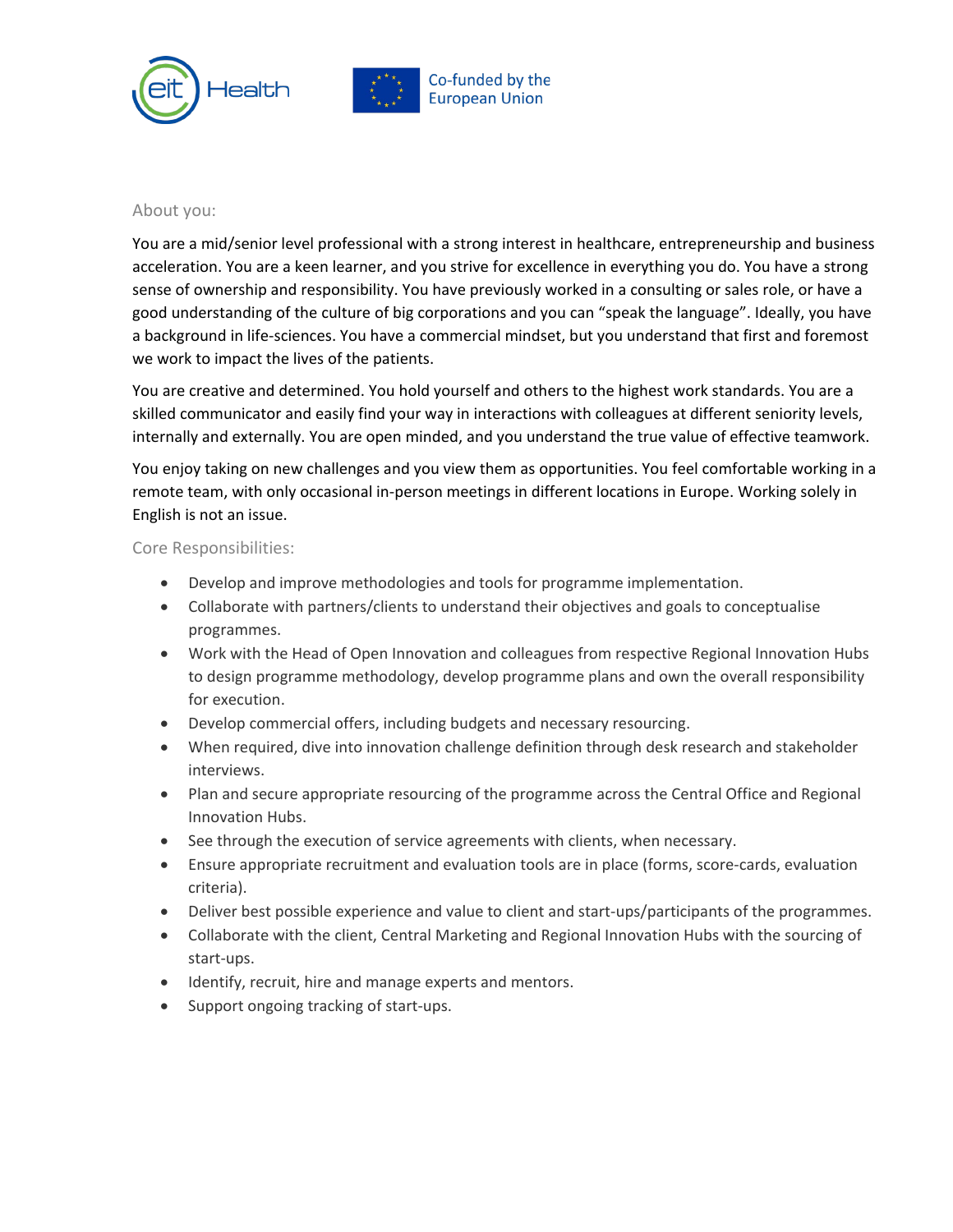



#### About you:

You are a mid/senior level professional with a strong interest in healthcare, entrepreneurship and business acceleration. You are a keen learner, and you strive for excellence in everything you do. You have a strong sense of ownership and responsibility. You have previously worked in a consulting or sales role, or have a good understanding of the culture of big corporations and you can "speak the language". Ideally, you have a background in life-sciences. You have a commercial mindset, but you understand that first and foremost we work to impact the lives of the patients.

You are creative and determined. You hold yourself and others to the highest work standards. You are a skilled communicator and easily find your way in interactions with colleagues at different seniority levels, internally and externally. You are open minded, and you understand the true value of effective teamwork.

You enjoy taking on new challenges and you view them as opportunities. You feel comfortable working in a remote team, with only occasional in-person meetings in different locations in Europe. Working solely in English is not an issue.

### Core Responsibilities:

- Develop and improve methodologies and tools for programme implementation.
- Collaborate with partners/clients to understand their objectives and goals to conceptualise programmes.
- Work with the Head of Open Innovation and colleagues from respective Regional Innovation Hubs to design programme methodology, develop programme plans and own the overall responsibility for execution.
- Develop commercial offers, including budgets and necessary resourcing.
- When required, dive into innovation challenge definition through desk research and stakeholder interviews.
- Plan and secure appropriate resourcing of the programme across the Central Office and Regional Innovation Hubs.
- See through the execution of service agreements with clients, when necessary.
- Ensure appropriate recruitment and evaluation tools are in place (forms, score-cards, evaluation criteria).
- Deliver best possible experience and value to client and start-ups/participants of the programmes.
- Collaborate with the client, Central Marketing and Regional Innovation Hubs with the sourcing of start-ups.
- Identify, recruit, hire and manage experts and mentors.
- Support ongoing tracking of start-ups.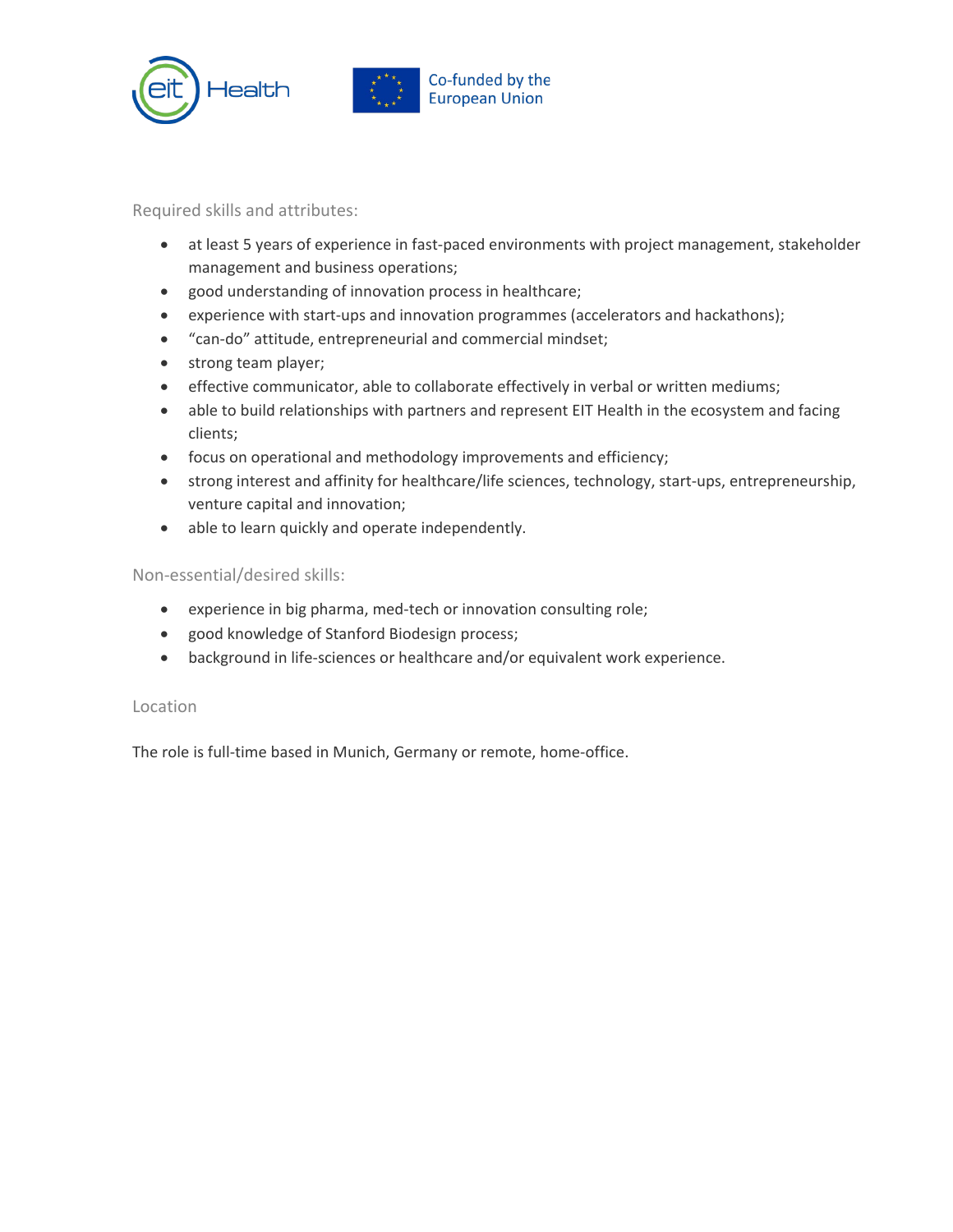



### Required skills and attributes:

- at least 5 years of experience in fast-paced environments with project management, stakeholder management and business operations;
- good understanding of innovation process in healthcare;
- experience with start-ups and innovation programmes (accelerators and hackathons);
- "can-do" attitude, entrepreneurial and commercial mindset;
- strong team player;
- effective communicator, able to collaborate effectively in verbal or written mediums;
- able to build relationships with partners and represent EIT Health in the ecosystem and facing clients;
- focus on operational and methodology improvements and efficiency;
- strong interest and affinity for healthcare/life sciences, technology, start-ups, entrepreneurship, venture capital and innovation;
- able to learn quickly and operate independently.

### Non-essential/desired skills:

- experience in big pharma, med-tech or innovation consulting role;
- good knowledge of Stanford Biodesign process;
- background in life-sciences or healthcare and/or equivalent work experience.

#### Location

The role is full-time based in Munich, Germany or remote, home-office.